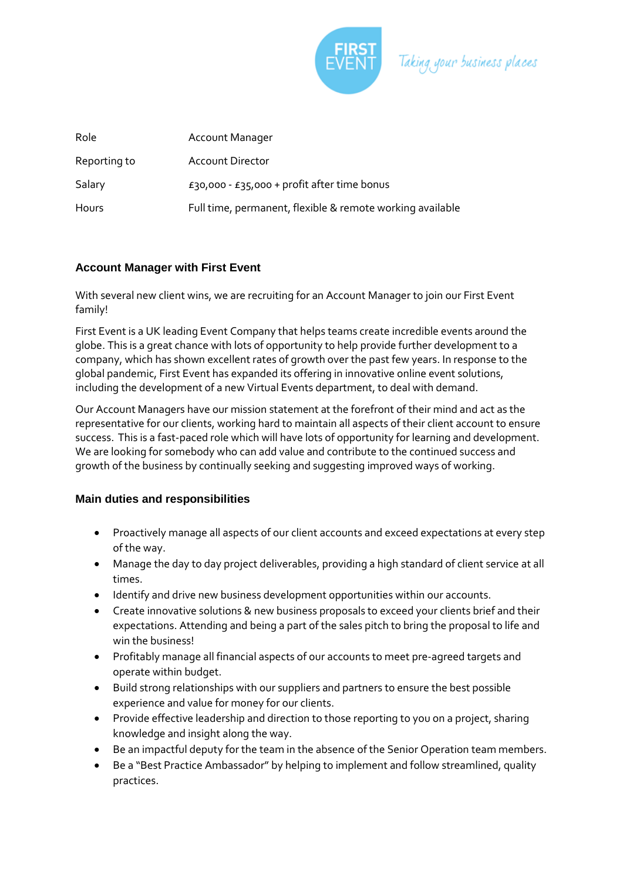

Taking your business places

| Role         | Account Manager                                           |
|--------------|-----------------------------------------------------------|
| Reporting to | <b>Account Director</b>                                   |
| Salary       | £30,000 - £35,000 + profit after time bonus               |
| Hours        | Full time, permanent, flexible & remote working available |

# **Account Manager with First Event**

With several new client wins, we are recruiting for an Account Manager to join our First Event family!

First Event is a UK leading Event Company that helps teams create incredible events around the globe. This is a great chance with lots of opportunity to help provide further development to a company, which has shown excellent rates of growth over the past few years. In response to the global pandemic, First Event has expanded its offering in innovative online event solutions, including the development of a new Virtual Events department, to deal with demand.

Our Account Managers have our mission statement at the forefront of their mind and act as the representative for our clients, working hard to maintain all aspects of their client account to ensure success. This is a fast-paced role which will have lots of opportunity for learning and development. We are looking for somebody who can add value and contribute to the continued success and growth of the business by continually seeking and suggesting improved ways of working.

### **Main duties and responsibilities**

- Proactively manage all aspects of our client accounts and exceed expectations at every step of the way.
- Manage the day to day project deliverables, providing a high standard of client service at all times.
- Identify and drive new business development opportunities within our accounts.
- Create innovative solutions & new business proposals to exceed your clients brief and their expectations. Attending and being a part of the sales pitch to bring the proposal to life and win the business!
- Profitably manage all financial aspects of our accounts to meet pre-agreed targets and operate within budget.
- Build strong relationships with our suppliers and partners to ensure the best possible experience and value for money for our clients.
- Provide effective leadership and direction to those reporting to you on a project, sharing knowledge and insight along the way.
- Be an impactful deputy for the team in the absence of the Senior Operation team members.
- Be a "Best Practice Ambassador" by helping to implement and follow streamlined, quality practices.